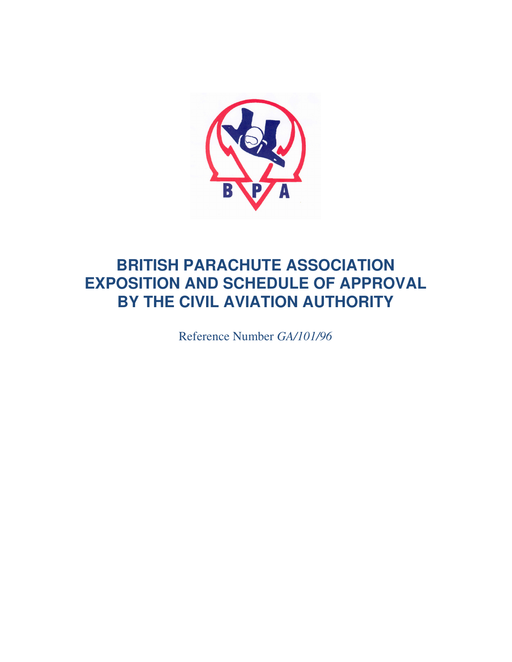

# **BRITISH PARACHUTE ASSOCIATION EXPOSITION AND SCHEDULE OF APPROVAL BY THE CIVIL AVIATION AUTHORITY**

Reference Number *GA/101/96*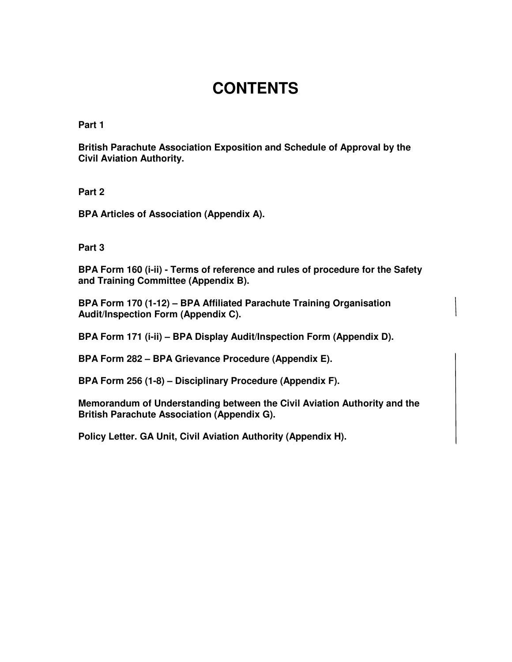# **CONTENTS**

**Part 1** 

**British Parachute Association Exposition and Schedule of Approval by the Civil Aviation Authority.** 

**Part 2** 

**BPA Articles of Association (Appendix A).** 

**Part 3** 

**BPA Form 160 (i-ii) - Terms of reference and rules of procedure for the Safety and Training Committee (Appendix B).** 

**BPA Form 170 (1-12) – BPA Affiliated Parachute Training Organisation Audit/Inspection Form (Appendix C).** 

**BPA Form 171 (i-ii) – BPA Display Audit/Inspection Form (Appendix D).** 

**BPA Form 282 – BPA Grievance Procedure (Appendix E).** 

**BPA Form 256 (1-8) – Disciplinary Procedure (Appendix F).** 

**Memorandum of Understanding between the Civil Aviation Authority and the British Parachute Association (Appendix G).** 

**Policy Letter. GA Unit, Civil Aviation Authority (Appendix H).**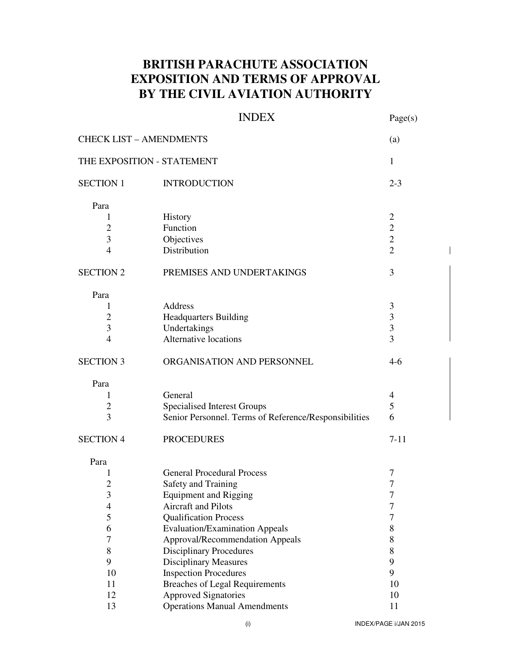## **BRITISH PARACHUTE ASSOCIATION EXPOSITION AND TERMS OF APPROVAL BY THE CIVIL AVIATION AUTHORITY**

## INDEX Page(s)

| <b>CHECK LIST - AMENDMENTS</b><br>(a) |                                                       |                         |  |  |
|---------------------------------------|-------------------------------------------------------|-------------------------|--|--|
| THE EXPOSITION - STATEMENT            |                                                       | $\mathbf{1}$            |  |  |
| <b>SECTION 1</b>                      | <b>INTRODUCTION</b>                                   | $2 - 3$                 |  |  |
| Para                                  |                                                       |                         |  |  |
| 1                                     | History                                               | $\mathbf{2}$            |  |  |
| $\overline{2}$                        | Function                                              | $\overline{2}$          |  |  |
| 3                                     | Objectives                                            | $\overline{2}$          |  |  |
| $\overline{4}$                        | Distribution                                          | $\overline{2}$          |  |  |
| <b>SECTION 2</b>                      | PREMISES AND UNDERTAKINGS                             | 3                       |  |  |
| Para                                  |                                                       |                         |  |  |
| 1                                     | Address                                               | $\mathfrak{Z}$          |  |  |
| $\overline{2}$                        | <b>Headquarters Building</b>                          | $\mathfrak{Z}$          |  |  |
| 3                                     | Undertakings                                          | $\overline{\mathbf{3}}$ |  |  |
| $\overline{4}$                        | Alternative locations                                 | $\overline{3}$          |  |  |
| <b>SECTION 3</b>                      | ORGANISATION AND PERSONNEL                            | $4-6$                   |  |  |
| Para                                  |                                                       |                         |  |  |
| 1                                     | General                                               | 4                       |  |  |
| $\overline{c}$                        | <b>Specialised Interest Groups</b>                    | 5                       |  |  |
| 3                                     | Senior Personnel. Terms of Reference/Responsibilities | 6                       |  |  |
| <b>SECTION 4</b>                      | <b>PROCEDURES</b>                                     | $7 - 11$                |  |  |
| Para                                  |                                                       |                         |  |  |
| 1                                     | <b>General Procedural Process</b>                     | 7                       |  |  |
| $\overline{c}$                        | Safety and Training                                   | 7                       |  |  |
| 3                                     | <b>Equipment and Rigging</b>                          | 7                       |  |  |
| $\overline{4}$                        | Aircraft and Pilots                                   | 7                       |  |  |
| 5                                     | <b>Qualification Process</b>                          | 7                       |  |  |
| 6                                     | <b>Evaluation/Examination Appeals</b>                 | 8                       |  |  |
| 7                                     | Approval/Recommendation Appeals                       | 8                       |  |  |
| 8                                     | <b>Disciplinary Procedures</b>                        | 8                       |  |  |
| 9                                     | <b>Disciplinary Measures</b>                          | 9                       |  |  |
| 10                                    | <b>Inspection Procedures</b>                          | 9                       |  |  |
| 11                                    | <b>Breaches of Legal Requirements</b>                 | 10                      |  |  |
| 12                                    | <b>Approved Signatories</b>                           | 10                      |  |  |
| 13                                    | <b>Operations Manual Amendments</b>                   | 11                      |  |  |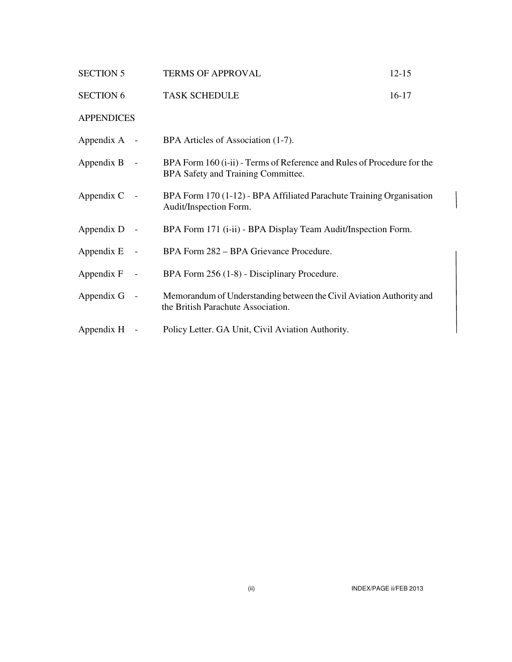| <b>SECTION 5</b>         | <b>TERMS OF APPROVAL</b>                                                                                      | $12 - 15$ |
|--------------------------|---------------------------------------------------------------------------------------------------------------|-----------|
| <b>SECTION 6</b>         | <b>TASK SCHEDULE</b>                                                                                          | $16-17$   |
| <b>APPENDICES</b>        |                                                                                                               |           |
| Appendix $A -$           | BPA Articles of Association (1-7).                                                                            |           |
| Appendix B<br>$\sim$ $-$ | BPA Form 160 (i-ii) - Terms of Reference and Rules of Procedure for the<br>BPA Safety and Training Committee. |           |
| Appendix C<br>$\sim$ $-$ | BPA Form 170 (1-12) - BPA Affiliated Parachute Training Organisation<br>Audit/Inspection Form.                |           |
| Appendix D<br>$\sim$ $-$ | BPA Form 171 (i-ii) - BPA Display Team Audit/Inspection Form.                                                 |           |
| Appendix E<br>$\sim$ $-$ | BPA Form 282 – BPA Grievance Procedure.                                                                       |           |
| Appendix F<br>$\sim$ $-$ | BPA Form 256 (1-8) - Disciplinary Procedure.                                                                  |           |
| Appendix G<br>$\sim$ $-$ | Memorandum of Understanding between the Civil Aviation Authority and<br>the British Parachute Association.    |           |
| Appendix H -             | Policy Letter. GA Unit, Civil Aviation Authority.                                                             |           |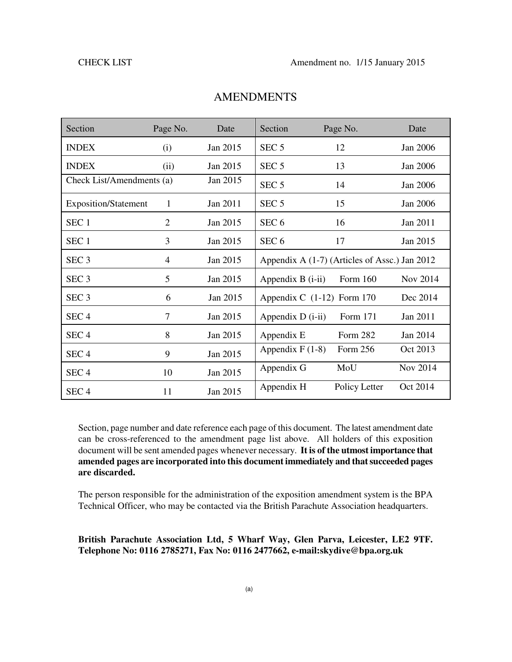| Section                     | Page No.       | Date     | Section            | Page No.                                      | Date     |
|-----------------------------|----------------|----------|--------------------|-----------------------------------------------|----------|
| <b>INDEX</b>                | (i)            | Jan 2015 | SEC <sub>5</sub>   | 12                                            | Jan 2006 |
| <b>INDEX</b>                | (ii)           | Jan 2015 | SEC <sub>5</sub>   | 13                                            | Jan 2006 |
| Check List/Amendments (a)   |                | Jan 2015 | SEC <sub>5</sub>   | 14                                            | Jan 2006 |
| <b>Exposition/Statement</b> | 1              | Jan 2011 | SEC <sub>5</sub>   | 15                                            | Jan 2006 |
| SEC <sub>1</sub>            | $\overline{2}$ | Jan 2015 | SEC <sub>6</sub>   | 16                                            | Jan 2011 |
| SEC <sub>1</sub>            | 3              | Jan 2015 | SEC <sub>6</sub>   | 17                                            | Jan 2015 |
| SEC <sub>3</sub>            | 4              | Jan 2015 |                    | Appendix A (1-7) (Articles of Assc.) Jan 2012 |          |
| SEC <sub>3</sub>            | 5              | Jan 2015 | Appendix B (i-ii)  | Form 160                                      | Nov 2014 |
| SEC <sub>3</sub>            | 6              | Jan 2015 |                    | Appendix C $(1-12)$ Form 170                  | Dec 2014 |
| SEC <sub>4</sub>            | 7              | Jan 2015 | Appendix $D(i-ii)$ | Form 171                                      | Jan 2011 |
| SEC <sub>4</sub>            | 8              | Jan 2015 | Appendix E         | Form 282                                      | Jan 2014 |
| SEC <sub>4</sub>            | 9              | Jan 2015 | Appendix $F(1-8)$  | Form 256                                      | Oct 2013 |
| SEC <sub>4</sub>            | 10             | Jan 2015 | Appendix G         | MoU                                           | Nov 2014 |
| SEC <sub>4</sub>            | 11             | Jan 2015 | Appendix H         | Policy Letter                                 | Oct 2014 |

### **AMENDMENTS**

Section, page number and date reference each page of this document. The latest amendment date can be cross-referenced to the amendment page list above. All holders of this exposition document will be sent amended pages whenever necessary. **It is of the utmost importance that amended pages are incorporated into this document immediately and that succeeded pages are discarded.**

The person responsible for the administration of the exposition amendment system is the BPA Technical Officer, who may be contacted via the British Parachute Association headquarters.

#### **British Parachute Association Ltd, 5 Wharf Way, Glen Parva, Leicester, LE2 9TF. Telephone No: 0116 2785271, Fax No: 0116 2477662, e-mail:skydive@bpa.org.uk**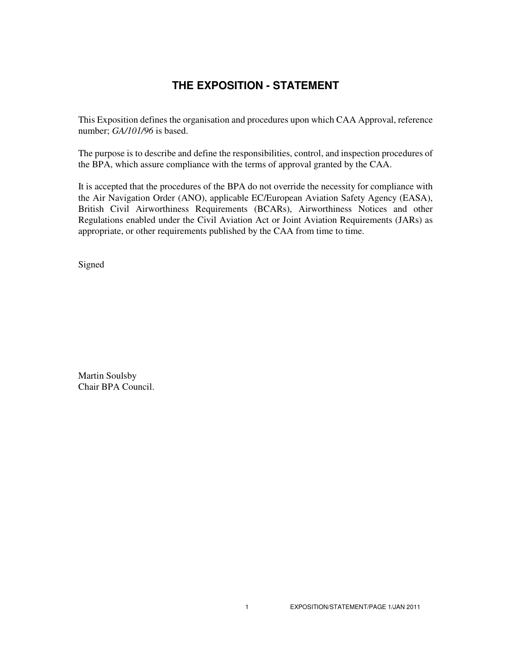## **THE EXPOSITION - STATEMENT**

This Exposition defines the organisation and procedures upon which CAA Approval, reference number; *GA/101/96* is based.

The purpose is to describe and define the responsibilities, control, and inspection procedures of the BPA, which assure compliance with the terms of approval granted by the CAA.

It is accepted that the procedures of the BPA do not override the necessity for compliance with the Air Navigation Order (ANO), applicable EC/European Aviation Safety Agency (EASA), British Civil Airworthiness Requirements (BCARs), Airworthiness Notices and other Regulations enabled under the Civil Aviation Act or Joint Aviation Requirements (JARs) as appropriate, or other requirements published by the CAA from time to time.

Signed

Martin Soulsby Chair BPA Council.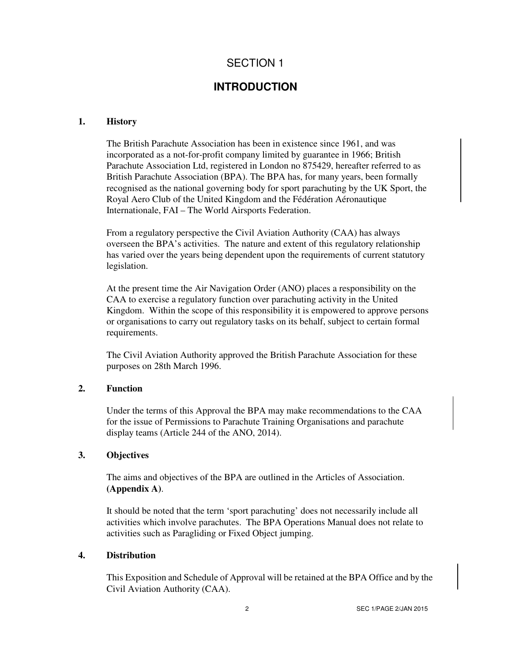## **INTRODUCTION**

#### **1. History**

The British Parachute Association has been in existence since 1961, and was incorporated as a not-for-profit company limited by guarantee in 1966; British Parachute Association Ltd, registered in London no 875429, hereafter referred to as British Parachute Association (BPA). The BPA has, for many years, been formally recognised as the national governing body for sport parachuting by the UK Sport, the Royal Aero Club of the United Kingdom and the Fédération Aéronautique Internationale, FAI – The World Airsports Federation.

From a regulatory perspective the Civil Aviation Authority (CAA) has always overseen the BPA's activities. The nature and extent of this regulatory relationship has varied over the years being dependent upon the requirements of current statutory legislation.

At the present time the Air Navigation Order (ANO) places a responsibility on the CAA to exercise a regulatory function over parachuting activity in the United Kingdom. Within the scope of this responsibility it is empowered to approve persons or organisations to carry out regulatory tasks on its behalf, subject to certain formal requirements.

The Civil Aviation Authority approved the British Parachute Association for these purposes on 28th March 1996.

#### **2. Function**

Under the terms of this Approval the BPA may make recommendations to the CAA for the issue of Permissions to Parachute Training Organisations and parachute display teams (Article 244 of the ANO, 2014).

#### **3. Objectives**

The aims and objectives of the BPA are outlined in the Articles of Association. **(Appendix A)**.

It should be noted that the term 'sport parachuting' does not necessarily include all activities which involve parachutes. The BPA Operations Manual does not relate to activities such as Paragliding or Fixed Object jumping.

#### **4. Distribution**

This Exposition and Schedule of Approval will be retained at the BPA Office and by the Civil Aviation Authority (CAA).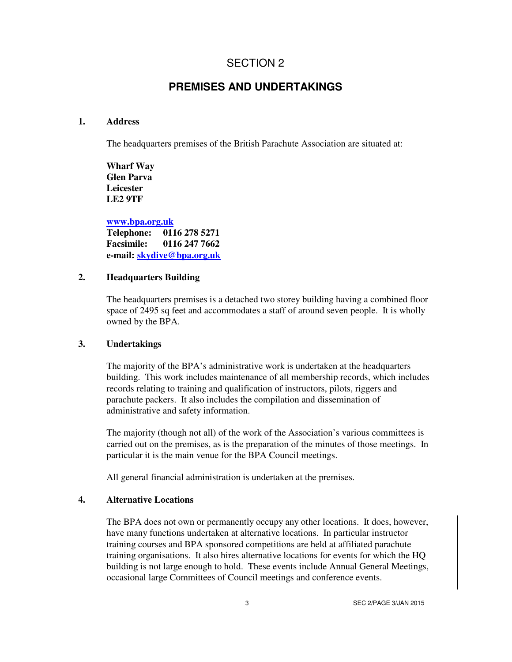## **PREMISES AND UNDERTAKINGS**

#### **1. Address**

The headquarters premises of the British Parachute Association are situated at:

**Wharf Way Glen Parva Leicester LE2 9TF**

**www.bpa.org.uk Telephone: 0116 278 5271 Facsimile: 0116 247 7662 e-mail: skydive@bpa.org.uk**

#### **2. Headquarters Building**

The headquarters premises is a detached two storey building having a combined floor space of 2495 sq feet and accommodates a staff of around seven people. It is wholly owned by the BPA.

#### **3. Undertakings**

The majority of the BPA's administrative work is undertaken at the headquarters building. This work includes maintenance of all membership records, which includes records relating to training and qualification of instructors, pilots, riggers and parachute packers. It also includes the compilation and dissemination of administrative and safety information.

The majority (though not all) of the work of the Association's various committees is carried out on the premises, as is the preparation of the minutes of those meetings. In particular it is the main venue for the BPA Council meetings.

All general financial administration is undertaken at the premises.

#### **4. Alternative Locations**

The BPA does not own or permanently occupy any other locations. It does, however, have many functions undertaken at alternative locations. In particular instructor training courses and BPA sponsored competitions are held at affiliated parachute training organisations. It also hires alternative locations for events for which the HQ building is not large enough to hold. These events include Annual General Meetings, occasional large Committees of Council meetings and conference events.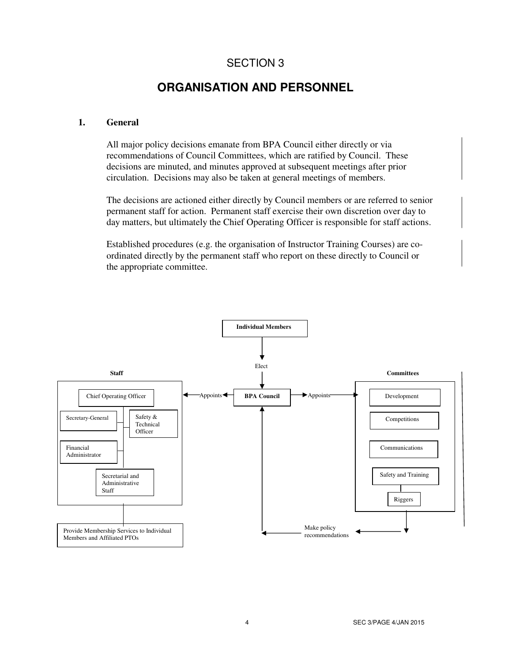## **ORGANISATION AND PERSONNEL**

#### **1. General**

All major policy decisions emanate from BPA Council either directly or via recommendations of Council Committees, which are ratified by Council. These decisions are minuted, and minutes approved at subsequent meetings after prior circulation. Decisions may also be taken at general meetings of members.

The decisions are actioned either directly by Council members or are referred to senior permanent staff for action. Permanent staff exercise their own discretion over day to day matters, but ultimately the Chief Operating Officer is responsible for staff actions.

Established procedures (e.g. the organisation of Instructor Training Courses) are coordinated directly by the permanent staff who report on these directly to Council or the appropriate committee.

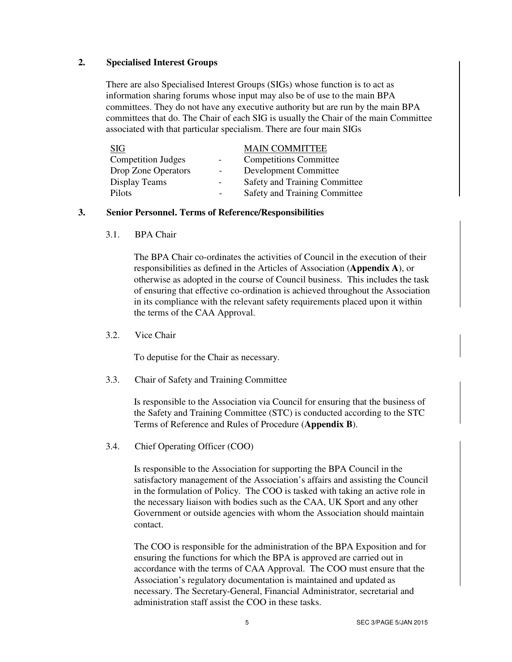#### **2. Specialised Interest Groups**

There are also Specialised Interest Groups (SIGs) whose function is to act as information sharing forums whose input may also be of use to the main BPA committees. They do not have any executive authority but are run by the main BPA committees that do. The Chair of each SIG is usually the Chair of the main Committee associated with that particular specialism. There are four main SIGs

| <b>SIG</b>                |                          | <b>MAIN COMMITTEE</b>         |
|---------------------------|--------------------------|-------------------------------|
| <b>Competition Judges</b> |                          | <b>Competitions Committee</b> |
| Drop Zone Operators       | $\overline{\phantom{a}}$ | <b>Development Committee</b>  |
| Display Teams             | -                        | Safety and Training Committee |
| Pilots                    | $\blacksquare$           | Safety and Training Committee |

#### **3. Senior Personnel. Terms of Reference/Responsibilities**

3.1. BPA Chair

The BPA Chair co-ordinates the activities of Council in the execution of their responsibilities as defined in the Articles of Association (**Appendix A**), or otherwise as adopted in the course of Council business. This includes the task of ensuring that effective co-ordination is achieved throughout the Association in its compliance with the relevant safety requirements placed upon it within the terms of the CAA Approval.

3.2. Vice Chair

To deputise for the Chair as necessary.

3.3. Chair of Safety and Training Committee

Is responsible to the Association via Council for ensuring that the business of the Safety and Training Committee (STC) is conducted according to the STC Terms of Reference and Rules of Procedure (**Appendix B**).

3.4. Chief Operating Officer (COO)

Is responsible to the Association for supporting the BPA Council in the satisfactory management of the Association's affairs and assisting the Council in the formulation of Policy. The COO is tasked with taking an active role in the necessary liaison with bodies such as the CAA, UK Sport and any other Government or outside agencies with whom the Association should maintain contact.

The COO is responsible for the administration of the BPA Exposition and for ensuring the functions for which the BPA is approved are carried out in accordance with the terms of CAA Approval. The COO must ensure that the Association's regulatory documentation is maintained and updated as necessary. The Secretary-General, Financial Administrator, secretarial and administration staff assist the COO in these tasks.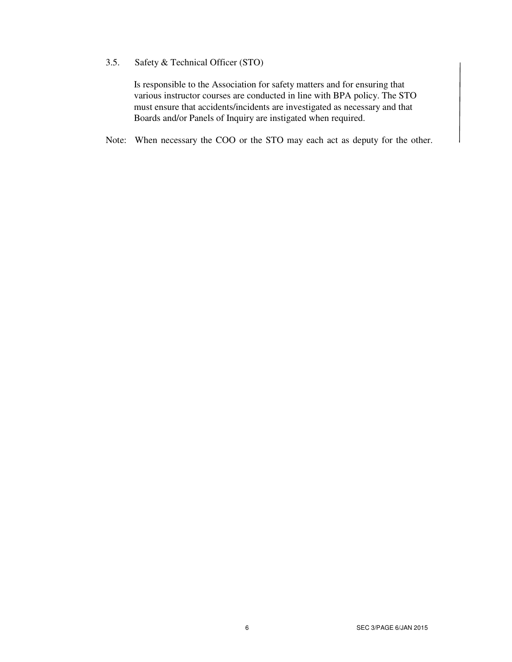### 3.5. Safety & Technical Officer (STO)

Is responsible to the Association for safety matters and for ensuring that various instructor courses are conducted in line with BPA policy. The STO must ensure that accidents/incidents are investigated as necessary and that Boards and/or Panels of Inquiry are instigated when required.

Note: When necessary the COO or the STO may each act as deputy for the other.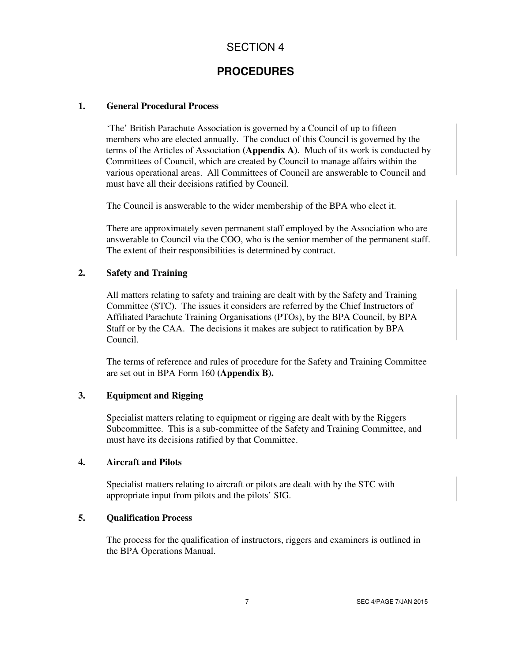## **PROCEDURES**

#### **1. General Procedural Process**

'The' British Parachute Association is governed by a Council of up to fifteen members who are elected annually. The conduct of this Council is governed by the terms of the Articles of Association **(Appendix A)**. Much of its work is conducted by Committees of Council, which are created by Council to manage affairs within the various operational areas. All Committees of Council are answerable to Council and must have all their decisions ratified by Council.

The Council is answerable to the wider membership of the BPA who elect it.

There are approximately seven permanent staff employed by the Association who are answerable to Council via the COO, who is the senior member of the permanent staff. The extent of their responsibilities is determined by contract.

#### **2. Safety and Training**

All matters relating to safety and training are dealt with by the Safety and Training Committee (STC). The issues it considers are referred by the Chief Instructors of Affiliated Parachute Training Organisations (PTOs), by the BPA Council, by BPA Staff or by the CAA. The decisions it makes are subject to ratification by BPA Council.

The terms of reference and rules of procedure for the Safety and Training Committee are set out in BPA Form 160 **(Appendix B).**

### **3. Equipment and Rigging**

Specialist matters relating to equipment or rigging are dealt with by the Riggers Subcommittee. This is a sub-committee of the Safety and Training Committee, and must have its decisions ratified by that Committee.

#### **4. Aircraft and Pilots**

Specialist matters relating to aircraft or pilots are dealt with by the STC with appropriate input from pilots and the pilots' SIG.

#### **5. Qualification Process**

The process for the qualification of instructors, riggers and examiners is outlined in the BPA Operations Manual.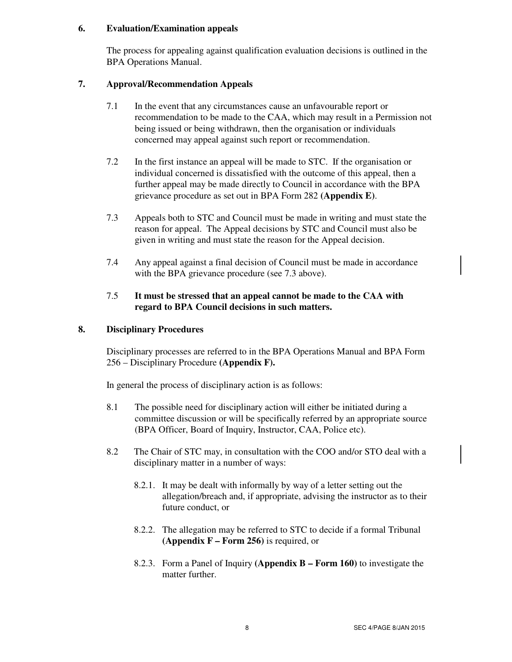#### **6. Evaluation/Examination appeals**

The process for appealing against qualification evaluation decisions is outlined in the BPA Operations Manual.

#### **7. Approval/Recommendation Appeals**

- 7.1 In the event that any circumstances cause an unfavourable report or recommendation to be made to the CAA, which may result in a Permission not being issued or being withdrawn, then the organisation or individuals concerned may appeal against such report or recommendation.
- 7.2 In the first instance an appeal will be made to STC. If the organisation or individual concerned is dissatisfied with the outcome of this appeal, then a further appeal may be made directly to Council in accordance with the BPA grievance procedure as set out in BPA Form 282 **(Appendix E)**.
- 7.3 Appeals both to STC and Council must be made in writing and must state the reason for appeal. The Appeal decisions by STC and Council must also be given in writing and must state the reason for the Appeal decision.
- 7.4 Any appeal against a final decision of Council must be made in accordance with the BPA grievance procedure (see 7.3 above).

### 7.5 **It must be stressed that an appeal cannot be made to the CAA with regard to BPA Council decisions in such matters.**

### **8. Disciplinary Procedures**

Disciplinary processes are referred to in the BPA Operations Manual and BPA Form 256 – Disciplinary Procedure **(Appendix F).**

In general the process of disciplinary action is as follows:

- 8.1 The possible need for disciplinary action will either be initiated during a committee discussion or will be specifically referred by an appropriate source (BPA Officer, Board of Inquiry, Instructor, CAA, Police etc).
- 8.2 The Chair of STC may, in consultation with the COO and/or STO deal with a disciplinary matter in a number of ways:
	- 8.2.1. It may be dealt with informally by way of a letter setting out the allegation/breach and, if appropriate, advising the instructor as to their future conduct, or
	- 8.2.2. The allegation may be referred to STC to decide if a formal Tribunal **(Appendix F – Form 256)** is required, or
	- 8.2.3. Form a Panel of Inquiry **(Appendix B Form 160)** to investigate the matter further.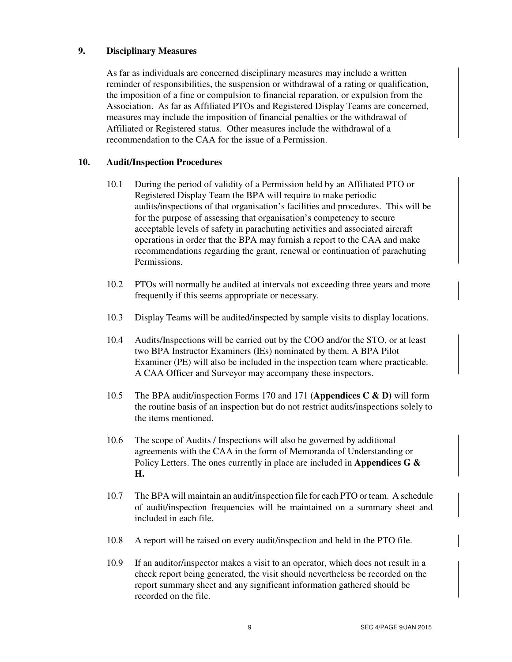#### **9. Disciplinary Measures**

As far as individuals are concerned disciplinary measures may include a written reminder of responsibilities, the suspension or withdrawal of a rating or qualification, the imposition of a fine or compulsion to financial reparation, or expulsion from the Association. As far as Affiliated PTOs and Registered Display Teams are concerned, measures may include the imposition of financial penalties or the withdrawal of Affiliated or Registered status. Other measures include the withdrawal of a recommendation to the CAA for the issue of a Permission.

#### **10. Audit/Inspection Procedures**

- 10.1 During the period of validity of a Permission held by an Affiliated PTO or Registered Display Team the BPA will require to make periodic audits/inspections of that organisation's facilities and procedures. This will be for the purpose of assessing that organisation's competency to secure acceptable levels of safety in parachuting activities and associated aircraft operations in order that the BPA may furnish a report to the CAA and make recommendations regarding the grant, renewal or continuation of parachuting Permissions.
- 10.2 PTOs will normally be audited at intervals not exceeding three years and more frequently if this seems appropriate or necessary.
- 10.3 Display Teams will be audited/inspected by sample visits to display locations.
- 10.4 Audits/Inspections will be carried out by the COO and/or the STO, or at least two BPA Instructor Examiners (IEs) nominated by them. A BPA Pilot Examiner (PE) will also be included in the inspection team where practicable. A CAA Officer and Surveyor may accompany these inspectors.
- 10.5 The BPA audit/inspection Forms 170 and 171 **(Appendices C & D)** will form the routine basis of an inspection but do not restrict audits/inspections solely to the items mentioned.
- 10.6 The scope of Audits / Inspections will also be governed by additional agreements with the CAA in the form of Memoranda of Understanding or Policy Letters. The ones currently in place are included in **Appendices G & H.**
- 10.7 The BPA will maintain an audit/inspection file for each PTO or team. A schedule of audit/inspection frequencies will be maintained on a summary sheet and included in each file.
- 10.8 A report will be raised on every audit/inspection and held in the PTO file.
- 10.9 If an auditor/inspector makes a visit to an operator, which does not result in a check report being generated, the visit should nevertheless be recorded on the report summary sheet and any significant information gathered should be recorded on the file.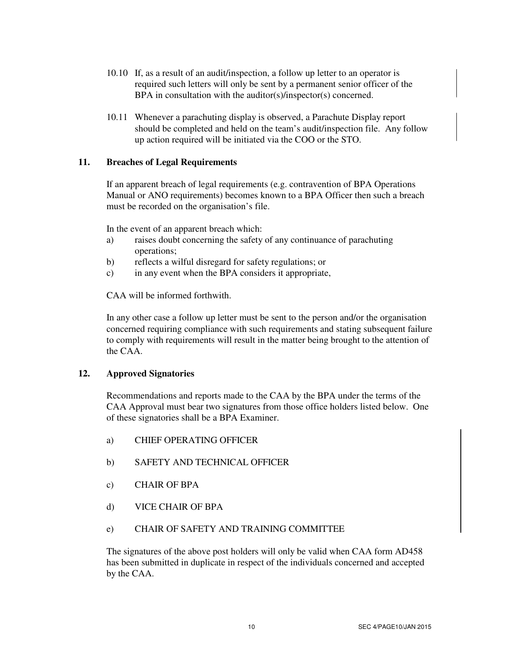- 10.10 If, as a result of an audit/inspection, a follow up letter to an operator is required such letters will only be sent by a permanent senior officer of the BPA in consultation with the auditor(s)/inspector(s) concerned.
- 10.11 Whenever a parachuting display is observed, a Parachute Display report should be completed and held on the team's audit/inspection file. Any follow up action required will be initiated via the COO or the STO.

#### **11. Breaches of Legal Requirements**

If an apparent breach of legal requirements (e.g. contravention of BPA Operations Manual or ANO requirements) becomes known to a BPA Officer then such a breach must be recorded on the organisation's file.

In the event of an apparent breach which:

- a) raises doubt concerning the safety of any continuance of parachuting operations;
- b) reflects a wilful disregard for safety regulations; or
- c) in any event when the BPA considers it appropriate,

CAA will be informed forthwith.

In any other case a follow up letter must be sent to the person and/or the organisation concerned requiring compliance with such requirements and stating subsequent failure to comply with requirements will result in the matter being brought to the attention of the CAA.

#### **12. Approved Signatories**

Recommendations and reports made to the CAA by the BPA under the terms of the CAA Approval must bear two signatures from those office holders listed below. One of these signatories shall be a BPA Examiner.

- a) CHIEF OPERATING OFFICER
- b) SAFETY AND TECHNICAL OFFICER
- c) CHAIR OF BPA
- d) VICE CHAIR OF BPA
- e) CHAIR OF SAFETY AND TRAINING COMMITTEE

The signatures of the above post holders will only be valid when CAA form AD458 has been submitted in duplicate in respect of the individuals concerned and accepted by the CAA.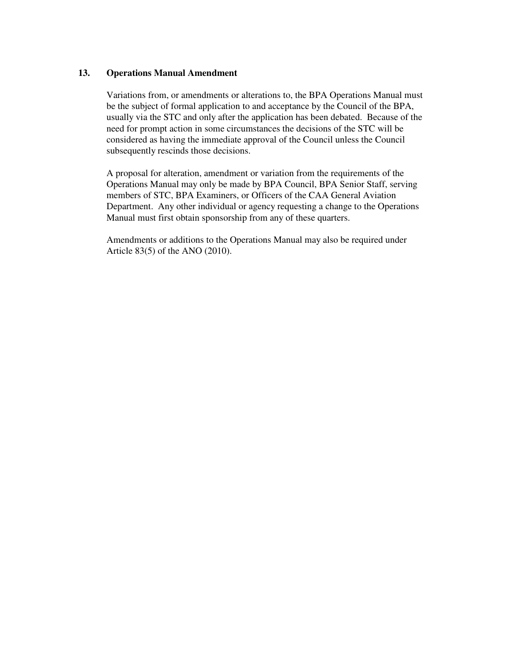#### **13. Operations Manual Amendment**

Variations from, or amendments or alterations to, the BPA Operations Manual must be the subject of formal application to and acceptance by the Council of the BPA, usually via the STC and only after the application has been debated. Because of the need for prompt action in some circumstances the decisions of the STC will be considered as having the immediate approval of the Council unless the Council subsequently rescinds those decisions.

A proposal for alteration, amendment or variation from the requirements of the Operations Manual may only be made by BPA Council, BPA Senior Staff, serving members of STC, BPA Examiners, or Officers of the CAA General Aviation Department. Any other individual or agency requesting a change to the Operations Manual must first obtain sponsorship from any of these quarters.

Amendments or additions to the Operations Manual may also be required under Article 83(5) of the ANO (2010).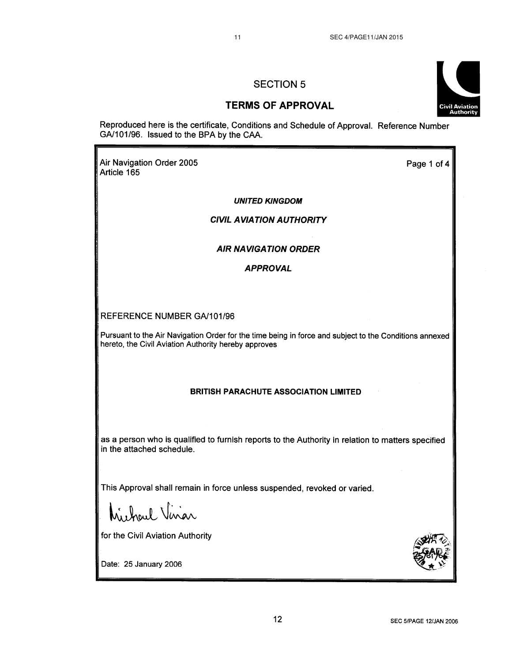#### **TERMS OF APPROVAL**

Reproduced here is the certificate, Conditions and Schedule of Approval. Reference Number GA/101/96. Issued to the BPA by the CAA.

Air Navigation Order 2005 Article 165

Page 1 of 4

**UNITED KINGDOM** 

**CIVIL AVIATION AUTHORITY** 

#### **AIR NAVIGATION ORDER**

**APPROVAL** 

REFERENCE NUMBER GA/101/96

Pursuant to the Air Navigation Order for the time being in force and subject to the Conditions annexed hereto, the Civil Aviation Authority hereby approves

#### **BRITISH PARACHUTE ASSOCIATION LIMITED**

as a person who is qualified to furnish reports to the Authority in relation to matters specified in the attached schedule.

This Approval shall remain in force unless suspended, revoked or varied.

hicharl Viviar

for the Civil Aviation Authority

Date: 25 January 2006



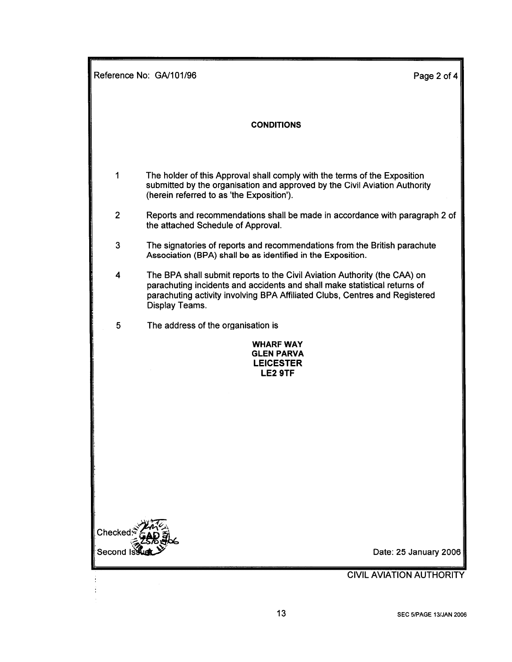| Reference No: GA/101/96<br>Page 2 of 4 |                                                                                                                                                                                                                                                         |
|----------------------------------------|---------------------------------------------------------------------------------------------------------------------------------------------------------------------------------------------------------------------------------------------------------|
|                                        | <b>CONDITIONS</b>                                                                                                                                                                                                                                       |
|                                        |                                                                                                                                                                                                                                                         |
| 1                                      | The holder of this Approval shall comply with the terms of the Exposition<br>submitted by the organisation and approved by the Civil Aviation Authority<br>(herein referred to as 'the Exposition').                                                    |
| $\overline{2}$                         | Reports and recommendations shall be made in accordance with paragraph 2 of<br>the attached Schedule of Approval.                                                                                                                                       |
| 3                                      | The signatories of reports and recommendations from the British parachute<br>Association (BPA) shall be as identified in the Exposition.                                                                                                                |
| 4                                      | The BPA shall submit reports to the Civil Aviation Authority (the CAA) on<br>parachuting incidents and accidents and shall make statistical returns of<br>parachuting activity involving BPA Affiliated Clubs, Centres and Registered<br>Display Teams. |
| 5                                      | The address of the organisation is                                                                                                                                                                                                                      |
|                                        | <b>WHARF WAY</b><br><b>GLEN PARVA</b><br><b>LEICESTER</b><br>LE2 9TF                                                                                                                                                                                    |
|                                        |                                                                                                                                                                                                                                                         |
|                                        |                                                                                                                                                                                                                                                         |
|                                        |                                                                                                                                                                                                                                                         |
|                                        |                                                                                                                                                                                                                                                         |
| Checked                                |                                                                                                                                                                                                                                                         |
|                                        | Date: 25 January 2006                                                                                                                                                                                                                                   |
|                                        | <b>CIVIL AVIATION AUTHORITY</b>                                                                                                                                                                                                                         |
|                                        |                                                                                                                                                                                                                                                         |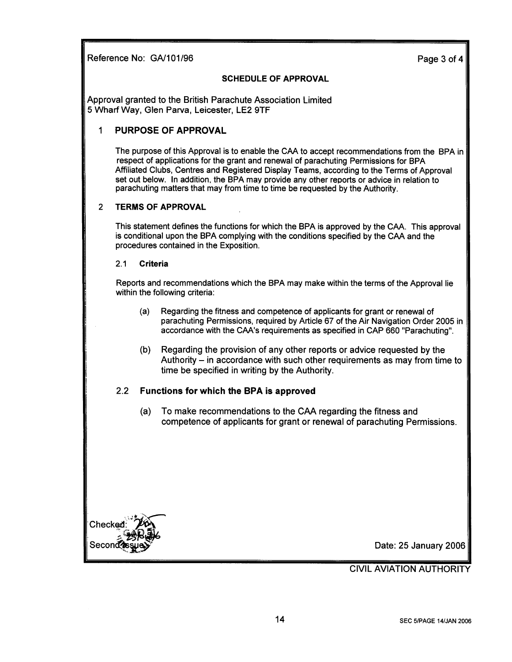Reference No: GA/101/96

Page 3 of 4

#### **SCHEDULE OF APPROVAL**

Approval granted to the British Parachute Association Limited 5 Wharf Way, Glen Parva, Leicester, LE2 9TF

#### $\mathbf 1$ **PURPOSE OF APPROVAL**

The purpose of this Approval is to enable the CAA to accept recommendations from the BPA in respect of applications for the grant and renewal of parachuting Permissions for BPA Affiliated Clubs, Centres and Registered Display Teams, according to the Terms of Approval set out below. In addition, the BPA may provide any other reports or advice in relation to parachuting matters that may from time to time be requested by the Authority.

#### $\overline{2}$ **TERMS OF APPROVAL**

This statement defines the functions for which the BPA is approved by the CAA. This approval is conditional upon the BPA complying with the conditions specified by the CAA and the procedures contained in the Exposition.

#### $2.1$ **Criteria**

Reports and recommendations which the BPA may make within the terms of the Approval lie within the following criteria:

- $(a)$ Regarding the fitness and competence of applicants for grant or renewal of parachuting Permissions, required by Article 67 of the Air Navigation Order 2005 in accordance with the CAA's requirements as specified in CAP 660 "Parachuting".
- (b) Regarding the provision of any other reports or advice requested by the Authority – in accordance with such other requirements as may from time to time be specified in writing by the Authority.

#### Functions for which the BPA is approved  $2.2$

To make recommendations to the CAA regarding the fitness and  $(a)$ competence of applicants for grant or renewal of parachuting Permissions.



Date: 25 January 2006

**CIVIL AVIATION AUTHORITY**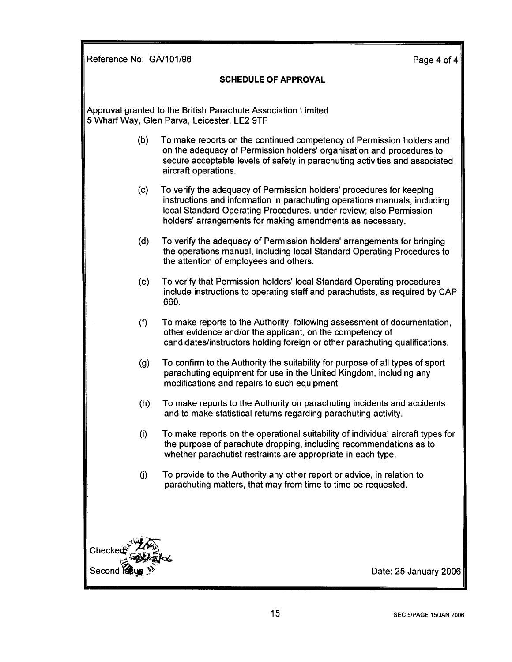Reference No: GA/101/96

Page 4 of 4

#### **SCHEDULE OF APPROVAL**

Approval granted to the British Parachute Association Limited 5 Wharf Way, Glen Parva, Leicester, LE2 9TF

- To make reports on the continued competency of Permission holders and  $(b)$ on the adequacy of Permission holders' organisation and procedures to secure acceptable levels of safety in parachuting activities and associated aircraft operations.
- To verify the adequacy of Permission holders' procedures for keeping  $(c)$ instructions and information in parachuting operations manuals, including local Standard Operating Procedures, under review; also Permission holders' arrangements for making amendments as necessary.
- $(d)$ To verify the adequacy of Permission holders' arrangements for bringing the operations manual, including local Standard Operating Procedures to the attention of employees and others.
- To verify that Permission holders' local Standard Operating procedures  $(e)$ include instructions to operating staff and parachutists, as required by CAP 660.
- To make reports to the Authority, following assessment of documentation,  $(f)$ other evidence and/or the applicant, on the competency of candidates/instructors holding foreign or other parachuting qualifications.
- $(g)$ To confirm to the Authority the suitability for purpose of all types of sport parachuting equipment for use in the United Kingdom, including any modifications and repairs to such equipment.
- To make reports to the Authority on parachuting incidents and accidents  $(h)$ and to make statistical returns regarding parachuting activity.
- To make reports on the operational suitability of individual aircraft types for  $(i)$ the purpose of parachute dropping, including recommendations as to whether parachutist restraints are appropriate in each type.
- $(i)$ To provide to the Authority any other report or advice, in relation to parachuting matters, that may from time to time be requested.



Date: 25 January 2006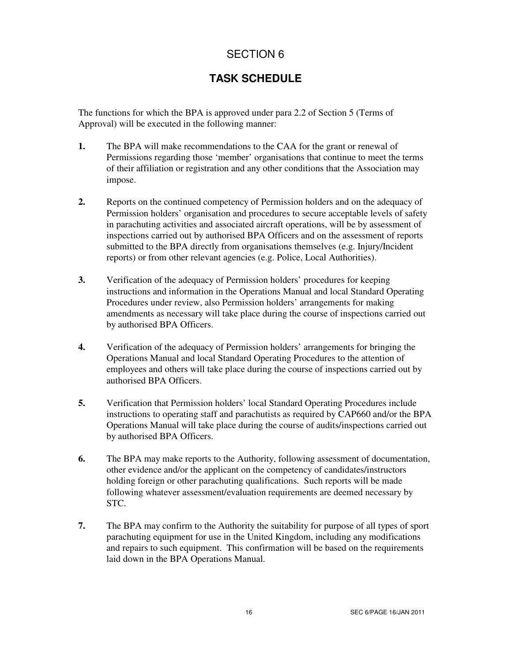## **TASK SCHEDULE**

The functions for which the BPA is approved under para 2.2 of Section 5 (Terms of Approval) will be executed in the following manner:

- **1.** The BPA will make recommendations to the CAA for the grant or renewal of Permissions regarding those 'member' organisations that continue to meet the terms of their affiliation or registration and any other conditions that the Association may impose.
- **2.** Reports on the continued competency of Permission holders and on the adequacy of Permission holders' organisation and procedures to secure acceptable levels of safety in parachuting activities and associated aircraft operations, will be by assessment of inspections carried out by authorised BPA Officers and on the assessment of reports submitted to the BPA directly from organisations themselves (e.g. Injury/Incident reports) or from other relevant agencies (e.g. Police, Local Authorities).
- **3.** Verification of the adequacy of Permission holders' procedures for keeping instructions and information in the Operations Manual and local Standard Operating Procedures under review, also Permission holders' arrangements for making amendments as necessary will take place during the course of inspections carried out by authorised BPA Officers.
- **4.** Verification of the adequacy of Permission holders' arrangements for bringing the Operations Manual and local Standard Operating Procedures to the attention of employees and others will take place during the course of inspections carried out by authorised BPA Officers.
- **5.** Verification that Permission holders' local Standard Operating Procedures include instructions to operating staff and parachutists as required by CAP660 and/or the BPA Operations Manual will take place during the course of audits/inspections carried out by authorised BPA Officers.
- **6.** The BPA may make reports to the Authority, following assessment of documentation, other evidence and/or the applicant on the competency of candidates/instructors holding foreign or other parachuting qualifications. Such reports will be made following whatever assessment/evaluation requirements are deemed necessary by STC.
- **7.** The BPA may confirm to the Authority the suitability for purpose of all types of sport parachuting equipment for use in the United Kingdom, including any modifications and repairs to such equipment. This confirmation will be based on the requirements laid down in the BPA Operations Manual.